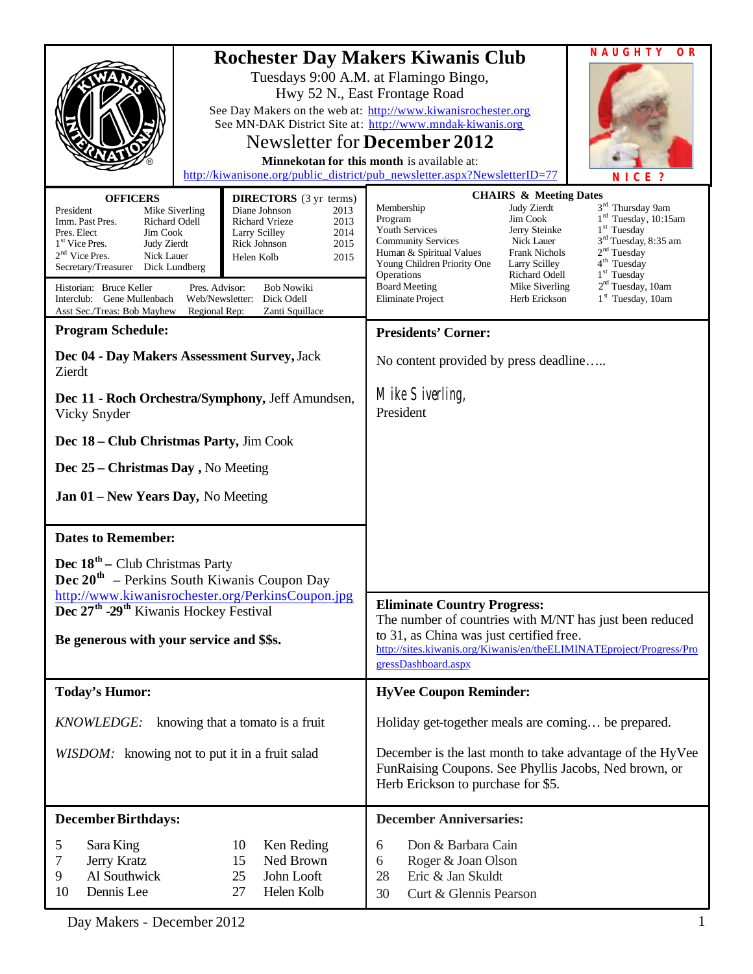| <b>OFFICERS</b><br>President<br>Mike Siverling<br>Richard Odell<br>Imm. Past Pres.<br>Jim Cook<br>Pres. Elect<br>1 <sup>st</sup> Vice Pres.<br><b>Judy Zierdt</b><br>$2nd$ Vice Pres.<br>Nick Lauer<br>Secretary/Treasurer<br>Dick Lundberg<br>Pres. Advisor:<br>Historian: Bruce Keller | <b>DIRECTORS</b> (3 yr terms)<br>Diane Johnson<br>2013<br><b>Richard Vrieze</b><br>2013<br>Larry Scilley<br>2014<br>Rick Johnson<br>2015<br>Helen Kolb<br>2015<br><b>Bob Nowiki</b> | NAUGHTY<br>O R<br><b>Rochester Day Makers Kiwanis Club</b><br>Tuesdays 9:00 A.M. at Flamingo Bingo,<br>Hwy 52 N., East Frontage Road<br>See Day Makers on the web at: http://www.kiwanisrochester.org<br>See MN-DAK District Site at: http://www.mndak-kiwanis.org<br><b>Newsletter for December 2012</b><br><b>Minnekotan for this month is available at:</b><br>http://kiwanisone.org/public_district/pub_newsletter.aspx?NewsletterID=77<br>NICE?<br><b>CHAIRS &amp; Meeting Dates</b><br>3 <sup>rd</sup> Thursday 9am<br>Membership<br>Judy Zierdt<br>$1rd$ Tuesday, 10:15am<br>Jim Cook<br>Program<br>$1st$ Tuesday<br>Youth Services<br>Jerry Steinke<br>3 <sup>rd</sup> Tuesday, 8:35 am<br><b>Community Services</b><br>Nick Lauer<br>2 <sup>nd</sup> Tuesday<br>Human & Spiritual Values<br><b>Frank Nichols</b><br>4 <sup>th</sup> Tuesday<br>Young Children Priority One<br>Larry Scilley<br>1 <sup>st</sup> Tuesday<br>Richard Odell<br>Operations<br>2 <sup>nd</sup> Tuesday, 10am<br>Mike Siverling<br><b>Board Meeting</b> |  |
|------------------------------------------------------------------------------------------------------------------------------------------------------------------------------------------------------------------------------------------------------------------------------------------|-------------------------------------------------------------------------------------------------------------------------------------------------------------------------------------|-------------------------------------------------------------------------------------------------------------------------------------------------------------------------------------------------------------------------------------------------------------------------------------------------------------------------------------------------------------------------------------------------------------------------------------------------------------------------------------------------------------------------------------------------------------------------------------------------------------------------------------------------------------------------------------------------------------------------------------------------------------------------------------------------------------------------------------------------------------------------------------------------------------------------------------------------------------------------------------------------------------------------------------------|--|
| Interclub: Gene Mullenbach<br>Web/Newsletter:<br>Dick Odell<br>Asst Sec./Treas: Bob Mayhew<br>Regional Rep:<br>Zanti Squillace                                                                                                                                                           |                                                                                                                                                                                     | 1 <sup>st</sup> Tuesday, 10am<br>Herb Erickson<br><b>Eliminate Project</b>                                                                                                                                                                                                                                                                                                                                                                                                                                                                                                                                                                                                                                                                                                                                                                                                                                                                                                                                                                |  |
| <b>Program Schedule:</b>                                                                                                                                                                                                                                                                 |                                                                                                                                                                                     | <b>Presidents' Corner:</b>                                                                                                                                                                                                                                                                                                                                                                                                                                                                                                                                                                                                                                                                                                                                                                                                                                                                                                                                                                                                                |  |
| Dec 04 - Day Makers Assessment Survey, Jack<br>Zierdt                                                                                                                                                                                                                                    |                                                                                                                                                                                     | No content provided by press deadline                                                                                                                                                                                                                                                                                                                                                                                                                                                                                                                                                                                                                                                                                                                                                                                                                                                                                                                                                                                                     |  |
| Dec 11 - Roch Orchestra/Symphony, Jeff Amundsen,<br>Vicky Snyder                                                                                                                                                                                                                         |                                                                                                                                                                                     | Mike Siverling,<br>President                                                                                                                                                                                                                                                                                                                                                                                                                                                                                                                                                                                                                                                                                                                                                                                                                                                                                                                                                                                                              |  |
| Dec 18 - Club Christmas Party, Jim Cook                                                                                                                                                                                                                                                  |                                                                                                                                                                                     |                                                                                                                                                                                                                                                                                                                                                                                                                                                                                                                                                                                                                                                                                                                                                                                                                                                                                                                                                                                                                                           |  |
| Dec 25 – Christmas Day, No Meeting                                                                                                                                                                                                                                                       |                                                                                                                                                                                     |                                                                                                                                                                                                                                                                                                                                                                                                                                                                                                                                                                                                                                                                                                                                                                                                                                                                                                                                                                                                                                           |  |
| Jan 01 – New Years Day, No Meeting                                                                                                                                                                                                                                                       |                                                                                                                                                                                     |                                                                                                                                                                                                                                                                                                                                                                                                                                                                                                                                                                                                                                                                                                                                                                                                                                                                                                                                                                                                                                           |  |
| <b>Dates to Remember:</b>                                                                                                                                                                                                                                                                |                                                                                                                                                                                     |                                                                                                                                                                                                                                                                                                                                                                                                                                                                                                                                                                                                                                                                                                                                                                                                                                                                                                                                                                                                                                           |  |
| <b>Dec</b> $18th$ – Club Christmas Party<br><b>Dec</b> $20^{\text{th}}$ – Perkins South Kiwanis Coupon Day                                                                                                                                                                               |                                                                                                                                                                                     |                                                                                                                                                                                                                                                                                                                                                                                                                                                                                                                                                                                                                                                                                                                                                                                                                                                                                                                                                                                                                                           |  |
| http://www.kiwanisrochester.org/PerkinsCoupon.jpg<br>Dec 27 <sup>th</sup> -29 <sup>th</sup> Kiwanis Hockey Festival                                                                                                                                                                      |                                                                                                                                                                                     | <b>Eliminate Country Progress:</b><br>The number of countries with M/NT has just been reduced                                                                                                                                                                                                                                                                                                                                                                                                                                                                                                                                                                                                                                                                                                                                                                                                                                                                                                                                             |  |
| Be generous with your service and \$\$s.                                                                                                                                                                                                                                                 |                                                                                                                                                                                     | to 31, as China was just certified free.<br>http://sites.kiwanis.org/Kiwanis/en/theELIMINATEproject/Progress/Pro<br>gressDashboard.aspx                                                                                                                                                                                                                                                                                                                                                                                                                                                                                                                                                                                                                                                                                                                                                                                                                                                                                                   |  |
| <b>Today's Humor:</b>                                                                                                                                                                                                                                                                    |                                                                                                                                                                                     | <b>HyVee Coupon Reminder:</b>                                                                                                                                                                                                                                                                                                                                                                                                                                                                                                                                                                                                                                                                                                                                                                                                                                                                                                                                                                                                             |  |
| KNOWLEDGE:<br>knowing that a tomato is a fruit                                                                                                                                                                                                                                           |                                                                                                                                                                                     | Holiday get-together meals are coming be prepared.                                                                                                                                                                                                                                                                                                                                                                                                                                                                                                                                                                                                                                                                                                                                                                                                                                                                                                                                                                                        |  |
| WISDOM: knowing not to put it in a fruit salad                                                                                                                                                                                                                                           |                                                                                                                                                                                     | December is the last month to take advantage of the HyVee<br>FunRaising Coupons. See Phyllis Jacobs, Ned brown, or<br>Herb Erickson to purchase for \$5.                                                                                                                                                                                                                                                                                                                                                                                                                                                                                                                                                                                                                                                                                                                                                                                                                                                                                  |  |
| <b>December Birthdays:</b>                                                                                                                                                                                                                                                               |                                                                                                                                                                                     | <b>December Anniversaries:</b>                                                                                                                                                                                                                                                                                                                                                                                                                                                                                                                                                                                                                                                                                                                                                                                                                                                                                                                                                                                                            |  |
| 10<br>5<br>Sara King<br>Ken Reding<br>7<br>15<br>Ned Brown<br>Jerry Kratz<br>9<br>Al Southwick<br>25<br>John Looft<br>10<br>Dennis Lee<br>27<br>Helen Kolb                                                                                                                               |                                                                                                                                                                                     | Don & Barbara Cain<br>6<br>Roger & Joan Olson<br>6<br>Eric & Jan Skuldt<br>28<br>Curt & Glennis Pearson<br>30                                                                                                                                                                                                                                                                                                                                                                                                                                                                                                                                                                                                                                                                                                                                                                                                                                                                                                                             |  |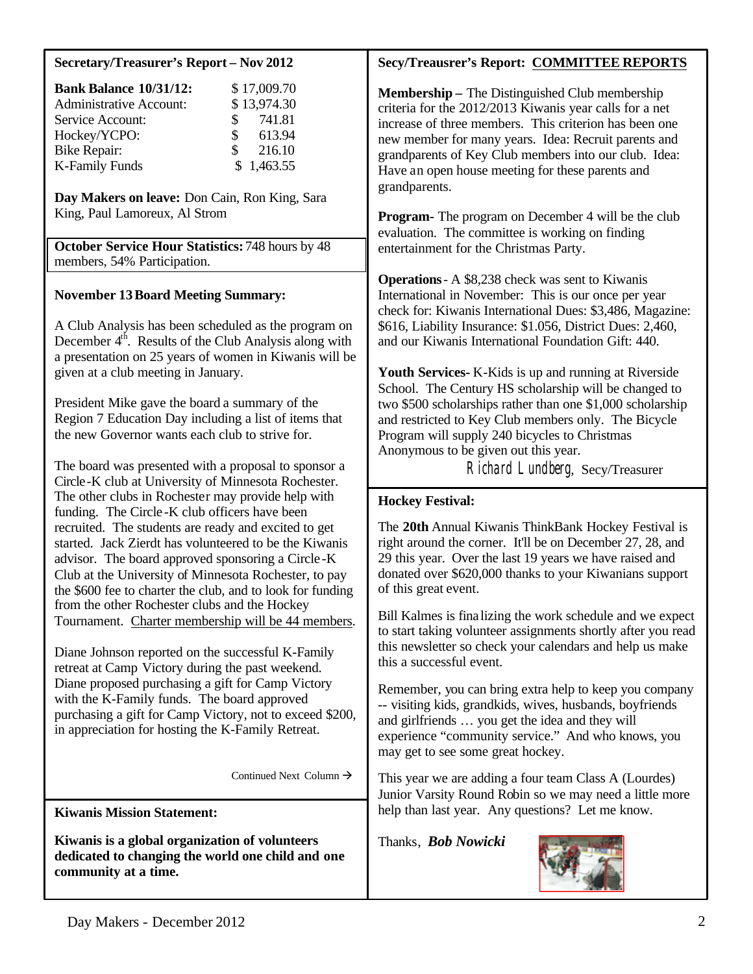#### **Secretary/Treasurer's Report – Nov 2012**

| <b>Bank Balance 10/31/12:</b>  |               | \$17,009.70 |
|--------------------------------|---------------|-------------|
| <b>Administrative Account:</b> |               | \$13,974.30 |
| Service Account:               |               | \$741.81    |
| Hockey/YCPO:                   | $\mathbb{S}$  | 613.94      |
| <b>Bike Repair:</b>            | <sup>\$</sup> | 216.10      |
| <b>K-Family Funds</b>          |               | \$1,463.55  |

**Day Makers on leave:** Don Cain, Ron King, Sara King, Paul Lamoreux, Al Strom

**October Service Hour Statistics:** 748 hours by 48 members, 54% Participation.

#### **November 13Board Meeting Summary:**

A Club Analysis has been scheduled as the program on December  $4<sup>th</sup>$ . Results of the Club Analysis along with a presentation on 25 years of women in Kiwanis will be given at a club meeting in January.

President Mike gave the board a summary of the Region 7 Education Day including a list of items that the new Governor wants each club to strive for.

The board was presented with a proposal to sponsor a Circle-K club at University of Minnesota Rochester. The other clubs in Rochester may provide help with funding. The Circle -K club officers have been recruited. The students are ready and excited to get started. Jack Zierdt has volunteered to be the Kiwanis advisor. The board approved sponsoring a Circle -K Club at the University of Minnesota Rochester, to pay the \$600 fee to charter the club, and to look for funding from the other Rochester clubs and the Hockey Tournament. Charter membership will be 44 members.

Diane Johnson reported on the successful K-Family retreat at Camp Victory during the past weekend. Diane proposed purchasing a gift for Camp Victory with the K-Family funds. The board approved purchasing a gift for Camp Victory, not to exceed \$200, in appreciation for hosting the K-Family Retreat.

Continued Next Column  $\rightarrow$ 

**Kiwanis Mission Statement:**

**Kiwanis is a global organization of volunteers dedicated to changing the world one child and one community at a time.**

#### **Secy/Treausrer's Report: COMMITTEE REPORTS**

**Membership –** The Distinguished Club membership criteria for the 2012/2013 Kiwanis year calls for a net increase of three members. This criterion has been one new member for many years. Idea: Recruit parents and grandparents of Key Club members into our club. Idea: Have an open house meeting for these parents and grandparents.

**Program-** The program on December 4 will be the club evaluation. The committee is working on finding entertainment for the Christmas Party.

**Operations**- A \$8,238 check was sent to Kiwanis International in November: This is our once per year check for: Kiwanis International Dues: \$3,486, Magazine: \$616, Liability Insurance: \$1.056, District Dues: 2,460, and our Kiwanis International Foundation Gift: 440.

**Youth Services-** K-Kids is up and running at Riverside School. The Century HS scholarship will be changed to two \$500 scholarships rather than one \$1,000 scholarship and restricted to Key Club members only. The Bicycle Program will supply 240 bicycles to Christmas Anonymous to be given out this year.

Richard Lundberg, Secy/Treasurer

#### **Hockey Festival:**

The **20th** Annual Kiwanis ThinkBank Hockey Festival is right around the corner. It'll be on December 27, 28, and 29 this year. Over the last 19 years we have raised and donated over \$620,000 thanks to your Kiwanians support of this great event.

Bill Kalmes is finalizing the work schedule and we expect to start taking volunteer assignments shortly after you read this newsletter so check your calendars and help us make this a successful event.

Remember, you can bring extra help to keep you company -- visiting kids, grandkids, wives, husbands, boyfriends and girlfriends … you get the idea and they will experience "community service." And who knows, you may get to see some great hockey.

This year we are adding a four team Class A (Lourdes) Junior Varsity Round Robin so we may need a little more help than last year. Any questions? Let me know.

Thanks, *Bob Nowicki*

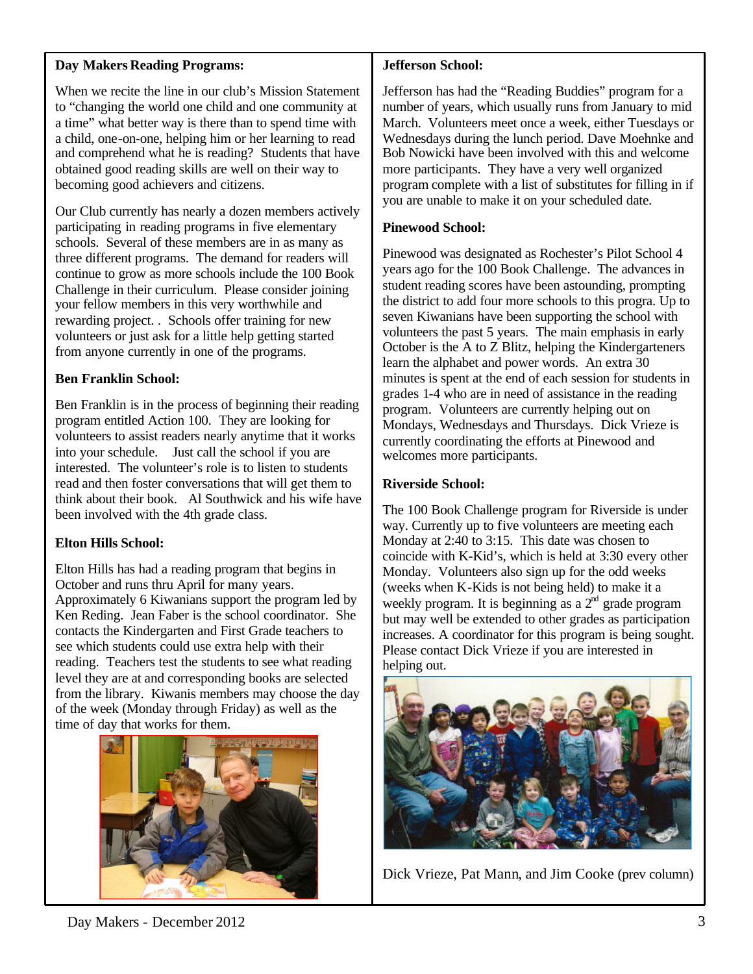#### **Day Makers Reading Programs:**

When we recite the line in our club's Mission Statement to "changing the world one child and one community at a time" what better way is there than to spend time with a child, one-on-one, helping him or her learning to read and comprehend what he is reading? Students that have obtained good reading skills are well on their way to becoming good achievers and citizens.

Our Club currently has nearly a dozen members actively participating in reading programs in five elementary schools. Several of these members are in as many as three different programs. The demand for readers will continue to grow as more schools include the 100 Book Challenge in their curriculum. Please consider joining your fellow members in this very worthwhile and rewarding project. . Schools offer training for new volunteers or just ask for a little help getting started from anyone currently in one of the programs.

#### **Ben Franklin School:**

Ben Franklin is in the process of beginning their reading program entitled Action 100. They are looking for volunteers to assist readers nearly anytime that it works into your schedule. Just call the school if you are interested. The volunteer's role is to listen to students read and then foster conversations that will get them to think about their book. Al Southwick and his wife have been involved with the 4th grade class.

#### **Elton Hills School:**

Elton Hills has had a reading program that begins in October and runs thru April for many years. Approximately 6 Kiwanians support the program led by Ken Reding. Jean Faber is the school coordinator. She contacts the Kindergarten and First Grade teachers to see which students could use extra help with their reading. Teachers test the students to see what reading level they are at and corresponding books are selected from the library. Kiwanis members may choose the day of the week (Monday through Friday) as well as the time of day that works for them.



#### **Jefferson School:**

Jefferson has had the "Reading Buddies" program for a number of years, which usually runs from January to mid March. Volunteers meet once a week, either Tuesdays or Wednesdays during the lunch period. Dave Moehnke and Bob Nowicki have been involved with this and welcome more participants. They have a very well organized program complete with a list of substitutes for filling in if you are unable to make it on your scheduled date.

#### **Pinewood School:**

Pinewood was designated as Rochester's Pilot School 4 years ago for the 100 Book Challenge. The advances in student reading scores have been astounding, prompting the district to add four more schools to this progra. Up to seven Kiwanians have been supporting the school with volunteers the past 5 years. The main emphasis in early October is the A to Z Blitz, helping the Kindergarteners learn the alphabet and power words. An extra 30 minutes is spent at the end of each session for students in grades 1-4 who are in need of assistance in the reading program. Volunteers are currently helping out on Mondays, Wednesdays and Thursdays. Dick Vrieze is currently coordinating the efforts at Pinewood and welcomes more participants.

#### **Riverside School:**

The 100 Book Challenge program for Riverside is under way. Currently up to five volunteers are meeting each Monday at 2:40 to 3:15. This date was chosen to coincide with K-Kid's, which is held at 3:30 every other Monday. Volunteers also sign up for the odd weeks (weeks when K-Kids is not being held) to make it a weekly program. It is beginning as a  $2<sup>nd</sup>$  grade program but may well be extended to other grades as participation increases. A coordinator for this program is being sought. Please contact Dick Vrieze if you are interested in helping out.



Dick Vrieze, Pat Mann, and Jim Cooke (prev column)

Day Makers - December 2012 3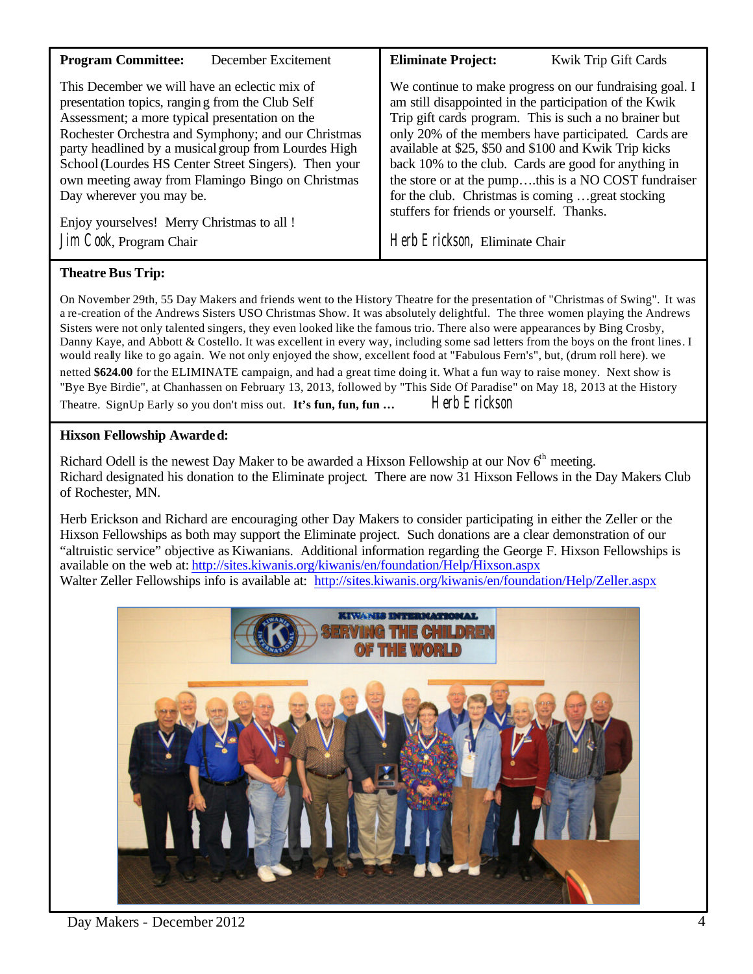| <b>Program Committee:</b>                            | <b>Eliminate Project:</b>                               |  |  |  |
|------------------------------------------------------|---------------------------------------------------------|--|--|--|
| December Excitement                                  | <b>Kwik Trip Gift Cards</b>                             |  |  |  |
| This December we will have an eclectic mix of        | We continue to make progress on our fundraising goal. I |  |  |  |
| presentation topics, ranging from the Club Self      | am still disappointed in the participation of the Kwik  |  |  |  |
| Assessment; a more typical presentation on the       | Trip gift cards program. This is such a no brainer but  |  |  |  |
| Rochester Orchestra and Symphony; and our Christmas  | only 20% of the members have participated. Cards are    |  |  |  |
| party headlined by a musical group from Lourdes High | available at \$25, \$50 and \$100 and Kwik Trip kicks   |  |  |  |
| School (Lourdes HS Center Street Singers). Then your | back 10% to the club. Cards are good for anything in    |  |  |  |
| own meeting away from Flamingo Bingo on Christmas    | the store or at the pumpthis is a NO COST fundraiser    |  |  |  |
| Day wherever you may be.                             | for the club. Christmas is coming great stocking        |  |  |  |
| Enjoy yourselves! Merry Christmas to all!            | stuffers for friends or yourself. Thanks.               |  |  |  |
| Jim Cook, Program Chair                              | Herb Erickson, Eliminate Chair                          |  |  |  |
|                                                      |                                                         |  |  |  |

#### **Theatre Bus Trip:**

On November 29th, 55 Day Makers and friends went to the History Theatre for the presentation of "Christmas of Swing". It was a re-creation of the Andrews Sisters USO Christmas Show. It was absolutely delightful. The three women playing the Andrews Sisters were not only talented singers, they even looked like the famous trio. There also were appearances by Bing Crosby, Danny Kaye, and Abbott & Costello. It was excellent in every way, including some sad letters from the boys on the front lines. I would really like to go again. We not only enjoyed the show, excellent food at "Fabulous Fern's", but, (drum roll here). we netted **\$624.00** for the ELIMINATE campaign, and had a great time doing it. What a fun way to raise money. Next show is "Bye Bye Birdie", at Chanhassen on February 13, 2013, followed by "This Side Of Paradise" on May 18, 2013 at the History Theatre. SignUp Early so you don't miss out. **It's fun, fun, fun...** Herb Erickson

#### **Hixson Fellowship Awarded:**

Richard Odell is the newest Day Maker to be awarded a Hixson Fellowship at our Nov 6<sup>th</sup> meeting. Richard designated his donation to the Eliminate project. There are now 31 Hixson Fellows in the Day Makers Club of Rochester, MN.

Herb Erickson and Richard are encouraging other Day Makers to consider participating in either the Zeller or the Hixson Fellowships as both may support the Eliminate project. Such donations are a clear demonstration of our "altruistic service" objective as Kiwanians. Additional information regarding the George F. Hixson Fellowships is available on the web at: <http://sites.kiwanis.org/kiwanis/en/foundation/Help/Hixson.aspx> Walter Zeller Fellowships info is available at: <http://sites.kiwanis.org/kiwanis/en/foundation/Help/Zeller.aspx>

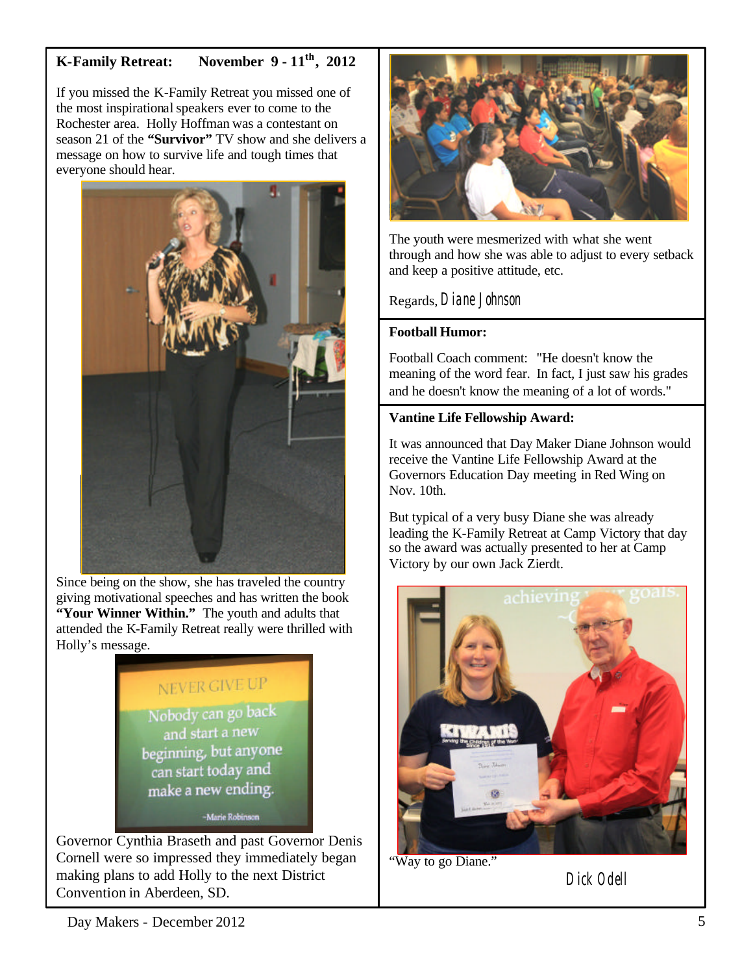## **K-Family Retreat: November 9 - 11th, 2012**

If you missed the K-Family Retreat you missed one of the most inspirational speakers ever to come to the Rochester area. Holly Hoffman was a contestant on season 21 of the **"Survivor"** TV show and she delivers a message on how to survive life and tough times that everyone should hear.



Since being on the show, she has traveled the country giving motivational speeches and has written the book **"Your Winner Within."** The youth and adults that attended the K-Family Retreat really were thrilled with Holly's message.

# NEVER GIVE UP

Nobody can go back and start a new beginning, but anyone can start today and make a new ending.

-Marie Robinson

Governor Cynthia Braseth and past Governor Denis Cornell were so impressed they immediately began making plans to add Holly to the next District Convention in Aberdeen, SD.



The youth were mesmerized with what she went through and how she was able to adjust to every setback and keep a positive attitude, etc.

Regards, Diane Johnson

#### **Football Humor:**

Football Coach comment: "He doesn't know the meaning of the word fear. In fact, I just saw his grades and he doesn't know the meaning of a lot of words."

#### **Vantine Life Fellowship Award:**

It was announced that Day Maker Diane Johnson would receive the Vantine Life Fellowship Award at the Governors Education Day meeting in Red Wing on Nov. 10th.

But typical of a very busy Diane she was already leading the K-Family Retreat at Camp Victory that day so the award was actually presented to her at Camp Victory by our own Jack Zierdt.



"Way to go Diane."

Dick Odell